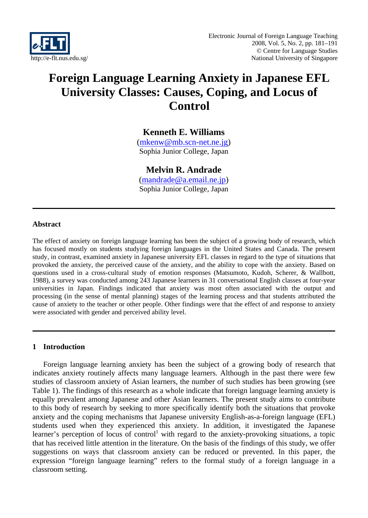

# **Foreign Language Learning Anxiety in Japanese EFL University Classes: Causes, Coping, and Locus of Control**

# **Kenneth E. Williams**

(mkenw@mb.scn-net.ne.jg) Sophia Junior College, Japan

# **Melvin R. Andrade**

(mandrade@a.email.ne.jp) Sophia Junior College, Japan

### **Abstract**

The effect of anxiety on foreign language learning has been the subject of a growing body of research, which has focused mostly on students studying foreign languages in the United States and Canada. The present study, in contrast, examined anxiety in Japanese university EFL classes in regard to the type of situations that provoked the anxiety, the perceived cause of the anxiety, and the ability to cope with the anxiety. Based on questions used in a cross-cultural study of emotion responses (Matsumoto, Kudoh, Scherer, & Wallbott, 1988), a survey was conducted among 243 Japanese learners in 31 conversational English classes at four-year universities in Japan. Findings indicated that anxiety was most often associated with the output and processing (in the sense of mental planning) stages of the learning process and that students attributed the cause of anxiety to the teacher or other people. Other findings were that the effect of and response to anxiety were associated with gender and perceived ability level.

### **1 Introduction**

Foreign language learning anxiety has been the subject of a growing body of research that indicates anxiety routinely affects many language learners. Although in the past there were few studies of classroom anxiety of Asian learners, the number of such studies has been growing (see Table 1). The findings of this research as a whole indicate that foreign language learning anxiety is equally prevalent among Japanese and other Asian learners. The present study aims to contribute to this body of research by seeking to more specifically identify both the situations that provoke anxiety and the coping mechanisms that Japanese university English-as-a-foreign language (EFL) students used when they experienced this anxiety. In addition, it investigated the Japanese learner's perception of locus of control<sup>1</sup> with regard to the anxiety-provoking situations, a topic that has received little attention in the literature. On the basis of the findings of this study, we offer suggestions on ways that classroom anxiety can be reduced or prevented. In this paper, the expression "foreign language learning" refers to the formal study of a foreign language in a classroom setting.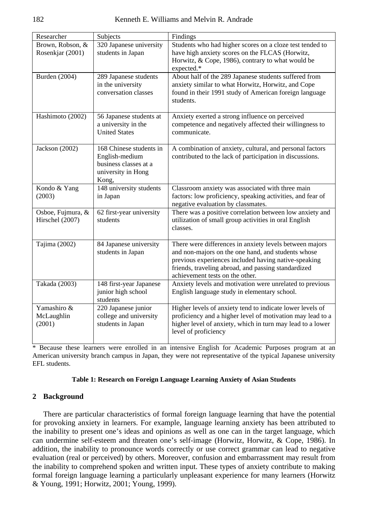| Researcher                           | Subjects                                                                                          | Findings                                                                                                                                                                                                                                                        |
|--------------------------------------|---------------------------------------------------------------------------------------------------|-----------------------------------------------------------------------------------------------------------------------------------------------------------------------------------------------------------------------------------------------------------------|
| Brown, Robson, &<br>Rosenkjar (2001) | 320 Japanese university<br>students in Japan                                                      | Students who had higher scores on a cloze test tended to<br>have high anxiety scores on the FLCAS (Horwitz,<br>Horwitz, & Cope, 1986), contrary to what would be<br>expected.*                                                                                  |
| Burden (2004)                        | 289 Japanese students<br>in the university<br>conversation classes                                | About half of the 289 Japanese students suffered from<br>anxiety similar to what Horwitz, Horwitz, and Cope<br>found in their 1991 study of American foreign language<br>students.                                                                              |
| Hashimoto (2002)                     | 56 Japanese students at<br>a university in the<br><b>United States</b>                            | Anxiety exerted a strong influence on perceived<br>competence and negatively affected their willingness to<br>communicate.                                                                                                                                      |
| Jackson (2002)                       | 168 Chinese students in<br>English-medium<br>business classes at a<br>university in Hong<br>Kong, | A combination of anxiety, cultural, and personal factors<br>contributed to the lack of participation in discussions.                                                                                                                                            |
| Kondo & Yang<br>(2003)               | 148 university students<br>in Japan                                                               | Classroom anxiety was associated with three main<br>factors: low proficiency, speaking activities, and fear of<br>negative evaluation by classmates.                                                                                                            |
| Osboe, Fujmura, &<br>Hirschel (2007) | 62 first-year university<br>students                                                              | There was a positive correlation between low anxiety and<br>utilization of small group activities in oral English<br>classes.                                                                                                                                   |
| Tajima (2002)                        | 84 Japanese university<br>students in Japan                                                       | There were differences in anxiety levels between majors<br>and non-majors on the one hand, and students whose<br>previous experiences included having native-speaking<br>friends, traveling abroad, and passing standardized<br>achievement tests on the other. |
| Takada (2003)                        | 148 first-year Japanese<br>junior high school<br>students                                         | Anxiety levels and motivation were unrelated to previous<br>English language study in elementary school.                                                                                                                                                        |
| Yamashiro &<br>McLaughlin<br>(2001)  | 220 Japanese junior<br>college and university<br>students in Japan                                | Higher levels of anxiety tend to indicate lower levels of<br>proficiency and a higher level of motivation may lead to a<br>higher level of anxiety, which in turn may lead to a lower<br>level of proficiency                                                   |

\* Because these learners were enrolled in an intensive English for Academic Purposes program at an American university branch campus in Japan, they were not representative of the typical Japanese university EFL students.

#### **Table 1: Research on Foreign Language Learning Anxiety of Asian Students**

### **2 Background**

There are particular characteristics of formal foreign language learning that have the potential for provoking anxiety in learners. For example, language learning anxiety has been attributed to the inability to present one's ideas and opinions as well as one can in the target language, which can undermine self-esteem and threaten one's self-image (Horwitz, Horwitz, & Cope, 1986). In addition, the inability to pronounce words correctly or use correct grammar can lead to negative evaluation (real or perceived) by others. Moreover, confusion and embarrassment may result from the inability to comprehend spoken and written input. These types of anxiety contribute to making formal foreign language learning a particularly unpleasant experience for many learners (Horwitz & Young, 1991; Horwitz, 2001; Young, 1999).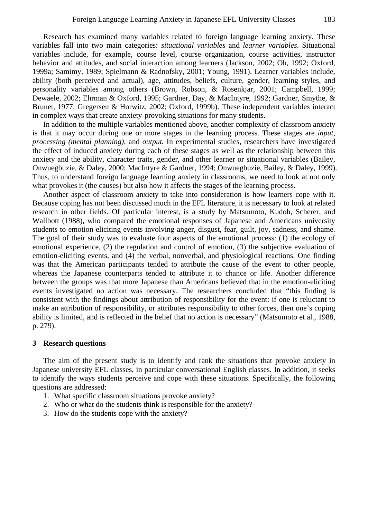Research has examined many variables related to foreign language learning anxiety. These variables fall into two main categories: *situational variables* and *learner variables*. Situational variables include, for example, course level, course organization, course activities, instructor behavior and attitudes, and social interaction among learners (Jackson, 2002; Oh, 1992; Oxford, 1999a; Samimy, 1989; Spielmann & Radnofsky, 2001; Young, 1991). Learner variables include, ability (both perceived and actual), age, attitudes, beliefs, culture, gender, learning styles, and personality variables among others (Brown, Robson, & Rosenkjar, 2001; Campbell, 1999; Dewaele, 2002; Ehrman & Oxford, 1995; Gardner, Day, & MacIntyre, 1992; Gardner, Smythe, & Brunet, 1977; Gregersen & Horwitz, 2002; Oxford, 1999b). These independent variables interact in complex ways that create anxiety-provoking situations for many students.

In addition to the multiple variables mentioned above, another complexity of classroom anxiety is that it may occur during one or more stages in the learning process. These stages are *input, processing (mental planning),* and *output.* In experimental studies, researchers have investigated the effect of induced anxiety during each of these stages as well as the relationship between this anxiety and the ability, character traits, gender, and other learner or situational variables (Bailey, Onwuegbuzie, & Daley, 2000; MacIntyre & Gardner, 1994; Onwuegbuzie, Bailey, & Daley, 1999). Thus, to understand foreign language learning anxiety in classrooms, we need to look at not only what provokes it (the causes) but also how it affects the stages of the learning process.

Another aspect of classroom anxiety to take into consideration is how learners cope with it. Because coping has not been discussed much in the EFL literature, it is necessary to look at related research in other fields. Of particular interest, is a study by Matsumoto, Kudoh, Scherer, and Wallbott (1988), who compared the emotional responses of Japanese and Americans university students to emotion-eliciting events involving anger, disgust, fear, guilt, joy, sadness, and shame. The goal of their study was to evaluate four aspects of the emotional process: (1) the ecology of emotional experience, (2) the regulation and control of emotion, (3) the subjective evaluation of emotion-eliciting events, and (4) the verbal, nonverbal, and physiological reactions. One finding was that the American participants tended to attribute the cause of the event to other people, whereas the Japanese counterparts tended to attribute it to chance or life. Another difference between the groups was that more Japanese than Americans believed that in the emotion-eliciting events investigated no action was necessary. The researchers concluded that "this finding is consistent with the findings about attribution of responsibility for the event: if one is reluctant to make an attribution of responsibility, or attributes responsibility to other forces, then one's coping ability is limited, and is reflected in the belief that no action is necessary" (Matsumoto et al., 1988, p. 279).

#### **3 Research questions**

The aim of the present study is to identify and rank the situations that provoke anxiety in Japanese university EFL classes, in particular conversational English classes. In addition, it seeks to identify the ways students perceive and cope with these situations. Specifically, the following questions are addressed:

- 1. What specific classroom situations provoke anxiety?
- 2. Who or what do the students think is responsible for the anxiety?
- 3. How do the students cope with the anxiety?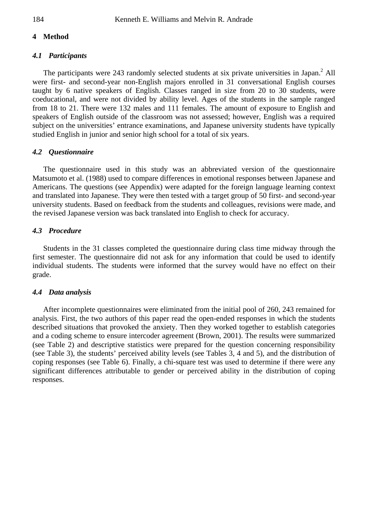# **4 Method**

### *4.1 Participants*

The participants were 243 randomly selected students at six private universities in Japan.<sup>2</sup> All were first- and second-year non-English majors enrolled in 31 conversational English courses taught by 6 native speakers of English. Classes ranged in size from 20 to 30 students, were coeducational, and were not divided by ability level. Ages of the students in the sample ranged from 18 to 21. There were 132 males and 111 females. The amount of exposure to English and speakers of English outside of the classroom was not assessed; however, English was a required subject on the universities' entrance examinations, and Japanese university students have typically studied English in junior and senior high school for a total of six years.

### *4.2 Questionnaire*

The questionnaire used in this study was an abbreviated version of the questionnaire Matsumoto et al. (1988) used to compare differences in emotional responses between Japanese and Americans. The questions (see Appendix) were adapted for the foreign language learning context and translated into Japanese. They were then tested with a target group of 50 first- and second-year university students. Based on feedback from the students and colleagues, revisions were made, and the revised Japanese version was back translated into English to check for accuracy.

### *4.3 Procedure*

Students in the 31 classes completed the questionnaire during class time midway through the first semester. The questionnaire did not ask for any information that could be used to identify individual students. The students were informed that the survey would have no effect on their grade.

### *4.4 Data analysis*

After incomplete questionnaires were eliminated from the initial pool of 260, 243 remained for analysis. First, the two authors of this paper read the open-ended responses in which the students described situations that provoked the anxiety. Then they worked together to establish categories and a coding scheme to ensure intercoder agreement (Brown, 2001). The results were summarized (see Table 2) and descriptive statistics were prepared for the question concerning responsibility (see Table 3), the students' perceived ability levels (see Tables 3, 4 and 5), and the distribution of coping responses (see Table 6). Finally, a chi-square test was used to determine if there were any significant differences attributable to gender or perceived ability in the distribution of coping responses.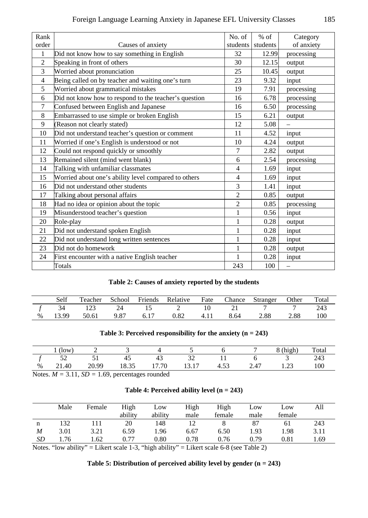| Rank           |                                                       | No. of         | $%$ of   | Category   |
|----------------|-------------------------------------------------------|----------------|----------|------------|
| order          | Causes of anxiety                                     | students       | students | of anxiety |
| 1              | Did not know how to say something in English          | 32             | 12.99    | processing |
| $\overline{2}$ | Speaking in front of others                           | 30             | 12.15    | output     |
| 3              | Worried about pronunciation                           | 25             | 10.45    | output     |
| 4              | Being called on by teacher and waiting one's turn     | 23             | 9.32     | input      |
| 5              | Worried about grammatical mistakes                    | 19             | 7.91     | processing |
| 6              | Did not know how to respond to the teacher's question | 16             | 6.78     | processing |
| $\overline{7}$ | Confused between English and Japanese                 | 16             | 6.50     | processing |
| 8              | Embarrassed to use simple or broken English           | 15             | 6.21     | output     |
| 9              | (Reason not clearly stated)                           | 12             | 5.08     |            |
| 10             | Did not understand teacher's question or comment      | 11             | 4.52     | input      |
| 11             | Worried if one's English is understood or not         | 10             | 4.24     | output     |
| 12             | Could not respond quickly or smoothly                 | 7              | 2.82     | output     |
| 13             | Remained silent (mind went blank)                     | 6              | 2.54     | processing |
| 14             | Talking with unfamiliar classmates                    | $\overline{4}$ | 1.69     | input      |
| 15             | Worried about one's ability level compared to others  | $\overline{4}$ | 1.69     | input      |
| 16             | Did not understand other students                     | 3              | 1.41     | input      |
| 17             | Talking about personal affairs                        | $\overline{2}$ | 0.85     | output     |
| 18             | Had no idea or opinion about the topic                | $\overline{2}$ | 0.85     | processing |
| 19             | Misunderstood teacher's question                      | $\mathbf{1}$   | 0.56     | input      |
| 20             | Role-play                                             | 1              | 0.28     | output     |
| 21             | Did not understand spoken English                     | 1              | 0.28     | input      |
| 22             | Did not understand long written sentences             | 1              | 0.28     | input      |
| 23             | Did not do homework                                   | 1              | 0.28     | output     |
| 24             | First encounter with a native English teacher         | 1              | 0.28     | input      |
|                | Totals                                                | 243            | 100      | $\equiv$   |

|  |  |  |  |  | Table 2: Causes of anxiety reported by the students |
|--|--|--|--|--|-----------------------------------------------------|
|--|--|--|--|--|-----------------------------------------------------|

|      | Self |             |      |      | Teacher School Friends Relative Fate Chance |      |      | Stranger | Other | Total |
|------|------|-------------|------|------|---------------------------------------------|------|------|----------|-------|-------|
|      | 34   | 123         | 24   | 15   |                                             |      |      |          |       | 243   |
| $\%$ |      | 13.99 50.61 | 9.87 | 6.17 | 0.82                                        | 4.11 | 8.64 | 2.88     | 2.88  | 100   |

# **Table 3: Perceived responsibility for the anxiety (n = 243)**

|   | $($ low $)$ | -     |             |                        |                                           |        |                                  | $\sim$ $\sim$ $\sim$<br>$(h$ <sub>1</sub> gh | Total |
|---|-------------|-------|-------------|------------------------|-------------------------------------------|--------|----------------------------------|----------------------------------------------|-------|
|   | ັ           | ັ     | 41          | 45                     | ັ                                         |        |                                  |                                              | 243   |
| % | 21.40       | 20.99 | 25<br>10.JJ | 7.70<br>$\overline{ }$ | $\overline{1}$<br>$\cdot$ $\sim$<br>19.11 | $\sim$ | $\Delta$ <sup>-</sup><br>$- - -$ | $\sim$<br>رے ک                               | 100   |

Notes. *M =* 3.11, *SD =* 1.69, percentages rounded

|  | Table 4: Perceived ability level $(n = 243)$ |  |  |  |  |
|--|----------------------------------------------|--|--|--|--|
|--|----------------------------------------------|--|--|--|--|

|    | Male   | Female | High<br>ability | Low<br>ability | High<br>male | High<br>female | Low<br>male | Low<br>female | All  |
|----|--------|--------|-----------------|----------------|--------------|----------------|-------------|---------------|------|
| n  | 132    |        | 20              | 148            |              |                | 87          | 61            | 243  |
| M  | 3.01   | 3.21   | 6.59            | 1.96           | 6.67         | 6.50           | 1.93        | 1.98          | 3.11 |
| SD | . . 76 | l.62   | 0.77            | 0.80           | 0.78         | 0.76           | 0.79        | 0.81          | 1.69 |

Notes. "low ability" = Likert scale 1-3, "high ability" = Likert scale  $6-8$  (see Table 2)

**Table 5: Distribution of perceived ability level by gender (n = 243)**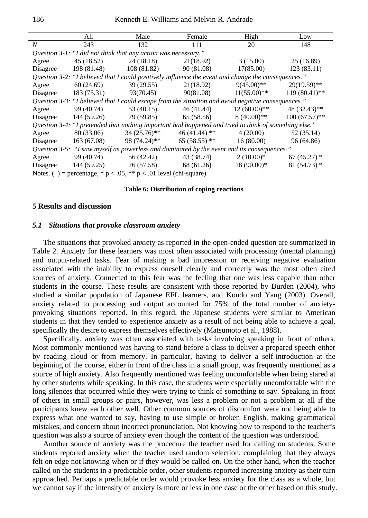|                                                                                                     | All         | Male           | Female                                                                                                | High           | Low             |  |  |  |  |
|-----------------------------------------------------------------------------------------------------|-------------|----------------|-------------------------------------------------------------------------------------------------------|----------------|-----------------|--|--|--|--|
| $N_{\rm \scriptscriptstyle I}$                                                                      | 243         | 132            | 111                                                                                                   | 20             | 148             |  |  |  |  |
| <i>Ouestion 3-1: "I did not think that any action was necessary."</i>                               |             |                |                                                                                                       |                |                 |  |  |  |  |
| Agree                                                                                               | 45 (18.52)  | 24 (18.18)     | 21(18.92)                                                                                             | 3(15.00)       | 25(16.89)       |  |  |  |  |
| Disagree                                                                                            | 198 (81.48) | 108(81.82)     | 90 (81.08)                                                                                            | 17(85.00)      | 123(83.11)      |  |  |  |  |
| Question 3-2: "I believed that I could positively influence the event and change the consequences." |             |                |                                                                                                       |                |                 |  |  |  |  |
| Agree                                                                                               | 60(24.69)   | 39(29.55)      | 21(18.92)                                                                                             | $9(45.00)**$   | $29(19.59)$ **  |  |  |  |  |
| Disagree                                                                                            | 183 (75.31) | 93(70.45)      | 90(81.08)                                                                                             | $11(55.00)$ ** | $119(80.41)$ ** |  |  |  |  |
| Question 3-3: "I believed that I could escape from the situation and avoid negative consequences."  |             |                |                                                                                                       |                |                 |  |  |  |  |
| Agree                                                                                               | 99 (40.74)  | 53 (40.15)     | 46 (41.44)                                                                                            | $12(60.00)**$  | 48 (32.43)**    |  |  |  |  |
| Disagree                                                                                            | 144 (59.26) | 79 (59.85)     | 65 (58.56)                                                                                            | $8(40.00)$ **  | $100(67.57)$ ** |  |  |  |  |
|                                                                                                     |             |                | Question 3-4: "I pretended that nothing important had happened and tried to think of something else." |                |                 |  |  |  |  |
| Agree                                                                                               | 80 (33.06)  | $34(25.76)$ ** | $46(41.44)$ **                                                                                        | 4(20.00)       | 52 (35.14)      |  |  |  |  |
| Disagree                                                                                            | 163(67.08)  | 98 (74.24)**   | $65(58.55)$ **                                                                                        | 16(80.00)      | 96 (64.86)      |  |  |  |  |
| Question 3-5: "I saw myself as powerless and dominated by the event and its consequences."          |             |                |                                                                                                       |                |                 |  |  |  |  |
| Agree                                                                                               | 99 (40.74)  | 56 (42.42)     | 43 (38.74)                                                                                            | $2(10.00)*$    | $67(45.27)$ *   |  |  |  |  |
| Disagree                                                                                            | 144 (59.25) | 76 (57.58)     | 68 (61.26)                                                                                            | $18(90.00)*$   | $81(54.73)$ *   |  |  |  |  |
| Notes. ( ) = percentage, * $p < .05$ , ** $p < .01$ level (chi-square)                              |             |                |                                                                                                       |                |                 |  |  |  |  |

#### **Table 6: Distribution of coping reactions**

### **5 Results and discussion**

#### *5.1 Situations that provoke classroom anxiety*

The situations that provoked anxiety as reported in the open-ended question are summarized in Table 2. Anxiety for these learners was most often associated with processing (mental planning) and output-related tasks. Fear of making a bad impression or receiving negative evaluation associated with the inability to express oneself clearly and correctly was the most often cited sources of anxiety. Connected to this fear was the feeling that one was less capable than other students in the course. These results are consistent with those reported by Burden (2004), who studied a similar population of Japanese EFL learners, and Kondo and Yang (2003). Overall, anxiety related to processing and output accounted for 75% of the total number of anxietyprovoking situations reported. In this regard, the Japanese students were similar to American students in that they tended to experience anxiety as a result of not being able to achieve a goal, specifically the desire to express themselves effectively (Matsumoto et al., 1988).

Specifically, anxiety was often associated with tasks involving speaking in front of others. Most commonly mentioned was having to stand before a class to deliver a prepared speech either by reading aloud or from memory. In particular, having to deliver a self-introduction at the beginning of the course, either in front of the class in a small group, was frequently mentioned as a source of high anxiety. Also frequently mentioned was feeling uncomfortable when being stared at by other students while speaking. In this case, the students were especially uncomfortable with the long silences that occurred while they were trying to think of something to say. Speaking in front of others in small groups or pairs, however, was less a problem or not a problem at all if the participants knew each other well. Other common sources of discomfort were not being able to express what one wanted to say, having to use simple or broken English, making grammatical mistakes, and concern about incorrect pronunciation. Not knowing how to respond to the teacher's question was also a source of anxiety even though the content of the question was understood.

Another source of anxiety was the procedure the teacher used for calling on students. Some students reported anxiety when the teacher used random selection, complaining that they always felt on edge not knowing when or if they would be called on. On the other hand, when the teacher called on the students in a predictable order, other students reported increasing anxiety as their turn approached. Perhaps a predictable order would provoke less anxiety for the class as a whole, but we cannot say if the intensity of anxiety is more or less in one case or the other based on this study.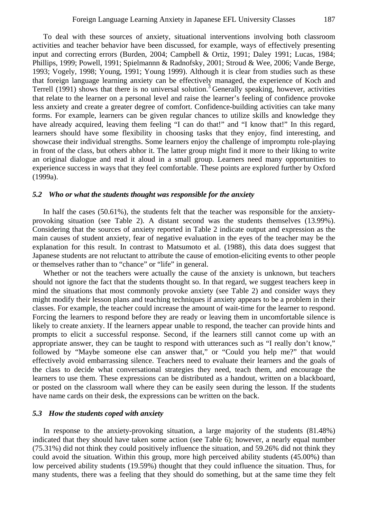To deal with these sources of anxiety, situational interventions involving both classroom activities and teacher behavior have been discussed, for example, ways of effectively presenting input and correcting errors (Burden, 2004; Campbell & Ortiz, 1991; Daley 1991; Lucas, 1984; Phillips, 1999; Powell, 1991; Spielmannn & Radnofsky, 2001; Stroud & Wee, 2006; Vande Berge, 1993; Vogely, 1998; Young, 1991; Young 1999). Although it is clear from studies such as these that foreign language learning anxiety can be effectively managed, the experience of Koch and Terrell (1991) shows that there is no universal solution.<sup>3</sup> Generally speaking, however, activities that relate to the learner on a personal level and raise the learner's feeling of confidence provoke less anxiety and create a greater degree of comfort. Confidence-building activities can take many forms. For example, learners can be given regular chances to utilize skills and knowledge they have already acquired, leaving them feeling "I can do that!" and "I know that!" In this regard, learners should have some flexibility in choosing tasks that they enjoy, find interesting, and showcase their individual strengths. Some learners enjoy the challenge of impromptu role-playing in front of the class, but others abhor it. The latter group might find it more to their liking to write an original dialogue and read it aloud in a small group. Learners need many opportunities to experience success in ways that they feel comfortable. These points are explored further by Oxford (1999a).

### *5.2 Who or what the students thought was responsible for the anxiety*

In half the cases (50.61%), the students felt that the teacher was responsible for the anxietyprovoking situation (see Table 2). A distant second was the students themselves (13.99%). Considering that the sources of anxiety reported in Table 2 indicate output and expression as the main causes of student anxiety, fear of negative evaluation in the eyes of the teacher may be the explanation for this result. In contrast to Matsumoto et al. (1988), this data does suggest that Japanese students are not reluctant to attribute the cause of emotion-eliciting events to other people or themselves rather than to "chance" or "life" in general.

Whether or not the teachers were actually the cause of the anxiety is unknown, but teachers should not ignore the fact that the students thought so. In that regard, we suggest teachers keep in mind the situations that most commonly provoke anxiety (see Table 2) and consider ways they might modify their lesson plans and teaching techniques if anxiety appears to be a problem in their classes. For example, the teacher could increase the amount of wait-time for the learner to respond. Forcing the learners to respond before they are ready or leaving them in uncomfortable silence is likely to create anxiety. If the learners appear unable to respond, the teacher can provide hints and prompts to elicit a successful response. Second, if the learners still cannot come up with an appropriate answer, they can be taught to respond with utterances such as "I really don't know," followed by "Maybe someone else can answer that," or "Could you help me?" that would effectively avoid embarrassing silence. Teachers need to evaluate their learners and the goals of the class to decide what conversational strategies they need, teach them, and encourage the learners to use them. These expressions can be distributed as a handout, written on a blackboard, or posted on the classroom wall where they can be easily seen during the lesson. If the students have name cards on their desk, the expressions can be written on the back.

### *5.3 How the students coped with anxiety*

In response to the anxiety-provoking situation, a large majority of the students (81.48%) indicated that they should have taken some action (see Table 6); however, a nearly equal number (75.31%) did not think they could positively influence the situation, and 59.26% did not think they could avoid the situation. Within this group, more high perceived ability students (45.00%) than low perceived ability students (19.59%) thought that they could influence the situation. Thus, for many students, there was a feeling that they should do something, but at the same time they felt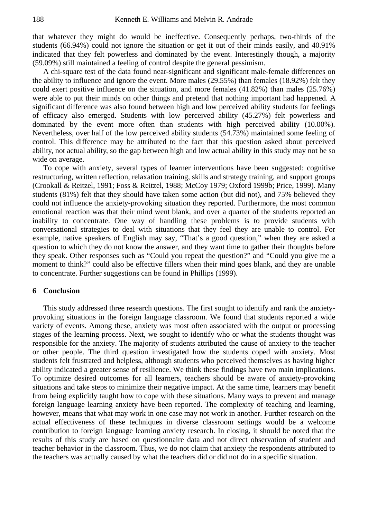that whatever they might do would be ineffective. Consequently perhaps, two-thirds of the students (66.94%) could not ignore the situation or get it out of their minds easily, and 40.91% indicated that they felt powerless and dominated by the event. Interestingly though, a majority (59.09%) still maintained a feeling of control despite the general pessimism.

A chi-square test of the data found near-significant and significant male-female differences on the ability to influence and ignore the event. More males (29.55%) than females (18.92%) felt they could exert positive influence on the situation, and more females (41.82%) than males (25.76%) were able to put their minds on other things and pretend that nothing important had happened. A significant difference was also found between high and low perceived ability students for feelings of efficacy also emerged. Students with low perceived ability (45.27%) felt powerless and dominated by the event more often than students with high perceived ability (10.00%). Nevertheless, over half of the low perceived ability students (54.73%) maintained some feeling of control. This difference may be attributed to the fact that this question asked about perceived ability, not actual ability, so the gap between high and low actual ability in this study may not be so wide on average.

To cope with anxiety, several types of learner interventions have been suggested: cognitive restructuring, written reflection, relaxation training, skills and strategy training, and support groups (Crookall & Reitzel, 1991; Foss & Reitzel, 1988; McCoy 1979; Oxford 1999b; Price, 1999). Many students (81%) felt that they should have taken some action (but did not), and 75% believed they could not influence the anxiety-provoking situation they reported. Furthermore, the most common emotional reaction was that their mind went blank, and over a quarter of the students reported an inability to concentrate. One way of handling these problems is to provide students with conversational strategies to deal with situations that they feel they are unable to control. For example, native speakers of English may say, "That's a good question," when they are asked a question to which they do not know the answer, and they want time to gather their thoughts before they speak. Other responses such as "Could you repeat the question?" and "Could you give me a moment to think?" could also be effective fillers when their mind goes blank, and they are unable to concentrate. Further suggestions can be found in Phillips (1999).

### **6 Conclusion**

This study addressed three research questions. The first sought to identify and rank the anxietyprovoking situations in the foreign language classroom. We found that students reported a wide variety of events. Among these, anxiety was most often associated with the output or processing stages of the learning process. Next, we sought to identify who or what the students thought was responsible for the anxiety. The majority of students attributed the cause of anxiety to the teacher or other people. The third question investigated how the students coped with anxiety. Most students felt frustrated and helpless, although students who perceived themselves as having higher ability indicated a greater sense of resilience. We think these findings have two main implications. To optimize desired outcomes for all learners, teachers should be aware of anxiety-provoking situations and take steps to minimize their negative impact. At the same time, learners may benefit from being explicitly taught how to cope with these situations. Many ways to prevent and manage foreign language learning anxiety have been reported. The complexity of teaching and learning, however, means that what may work in one case may not work in another. Further research on the actual effectiveness of these techniques in diverse classroom settings would be a welcome contribution to foreign language learning anxiety research. In closing, it should be noted that the results of this study are based on questionnaire data and not direct observation of student and teacher behavior in the classroom. Thus, we do not claim that anxiety the respondents attributed to the teachers was actually caused by what the teachers did or did not do in a specific situation.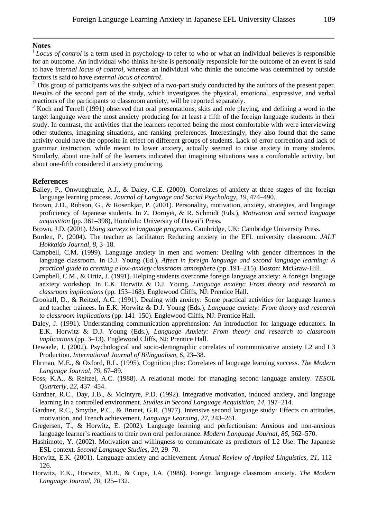### **Notes**

<sup>1</sup>*Locus of control* is a term used in psychology to refer to who or what an individual believes is responsible for an outcome. An individual who thinks he/she is personally responsible for the outcome of an event is said to have *internal locus of control*, whereas an individual who thinks the outcome was determined by outside factors is said to have *external locus of control*. 2

<sup>2</sup> This group of participants was the subject of a two-part study conducted by the authors of the present paper. Results of the second part of the study, which investigates the physical, emotional, expressive, and verbal reactions of the participants to classroom anxiety, will be reported separately.

<sup>3</sup> Koch and Terrell (1991) observed that oral presentations, skits and role playing, and defining a word in the target language were the most anxiety producing for at least a fifth of the foreign language students in their study. In contrast, the activities that the learners reported being the most comfortable with were interviewing other students, imagining situations, and ranking preferences. Interestingly, they also found that the same activity could have the opposite in effect on different groups of students. Lack of error correction and lack of grammar instruction, while meant to lower anxiety, actually seemed to raise anxiety in many students. Similarly, about one half of the learners indicated that imagining situations was a comfortable activity, but about one-fifth considered it anxiety producing.

### **References**

- Bailey, P., Onwuegbuzie, A.J., & Daley, C.E. (2000). Correlates of anxiety at three stages of the foreign language learning process. *Journal of Language and Social Psychology, 19*, 474–490.
- Brown, J.D., Robson, G., & Rosenkjar, P. (2001). Personality, motivation, anxiety, strategies, and language proficiency of Japanese students. In Z. Dornyei, & R. Schmidt (Eds.), *Motivation and second language acquisition* (pp. 361–398), Honolulu: University of Hawai'i Press.
- Brown, J.D. (2001). *Using surveys in language programs*. Cambridge, UK: Cambridge University Press.
- Burden, P. (2004). The teacher as facilitator: Reducing anxiety in the EFL university classroom. *JALT Hokkaido Journal*, *8*, 3–18.
- Campbell, C.M. (1999). Language anxiety in men and women: Dealing with gender differences in the language classroom. In D.J. Young (Ed.), *Affect in foreign language and second language learning: A practical guide to creating a low-anxiety classroom atmosphere* (pp. 191–215). Boston: McGraw-Hill.
- Campbell, C.M., & Ortiz, J. (1991). Helping students overcome foreign language anxiety: A foreign language anxiety workshop. In E.K. Horwitz & D.J. Young. *Language anxiety: From theory and research to classroom implications* (pp. 153–168). Englewood Cliffs, NJ: Prentice Hall.
- Crookall, D., & Reitzel, A.C. (1991). Dealing with anxiety: Some practical activities for language learners and teacher trainees. In E.K. Horwitz & D.J. Young (Eds.), *Language anxiety: From theory and research to classroom implications* (pp. 141–150). Englewood Cliffs, NJ: Prentice Hall.
- Daley, J. (1991). Understanding communication apprehension: An introduction for language educators. In E.K. Horwitz & D.J. Young (Eds.), *Language Anxiety: From theory and research to classroom implications* (pp. 3–13). Englewood Cliffs, NJ: Prentice Hall.
- Dewaele, J. (2002). Psychological and socio-demographic correlates of communicative anxiety L2 and L3 Production. *International Journal of Bilingualism, 6*, 23–38.
- Ehrman, M.E., & Oxford, R.L. (1995). Cognition plus: Correlates of language learning success. *The Modern Language Journal, 79*, 67–89.
- Foss, K.A., & Reitzel, A.C. (1988). A relational model for managing second language anxiety. *TESOL Quarterly, 22*, 437–454.
- Gardner, R.C., Day, J.B., & McIntyre, P.D. (1992). Integrative motivation, induced anxiety, and language learning in a controlled environment. *Studies in Second Language Acquisition, 14*, 197–214.
- Gardner, R.C., Smythe, P.C., & Brunet, G.R. (1977). Intensive second language study: Effects on attitudes, motivation, and French achievement. *Language Learning, 27*, 243–261.
- Gregersen, T., & Horwitz, E. (2002). Language learning and perfectionism: Anxious and non-anxious language learner's reactions to their own oral performance. *Modern Language Journal*, *86*, 562–570.
- Hashimoto, Y. (2002). Motivation and willingness to communicate as predictors of L2 Use: The Japanese ESL context. *Second Language Studies*, *20*, 29–70.
- Horwitz, E.K. (2001). Language anxiety and achievement. *Annual Review of Applied Linguistics, 21*, 112– 126.
- Horwitz, E.K., Horwitz, M.B., & Cope, J.A. (1986). Foreign language classroom anxiety. *The Modern Language Journal*, *70*, 125–132.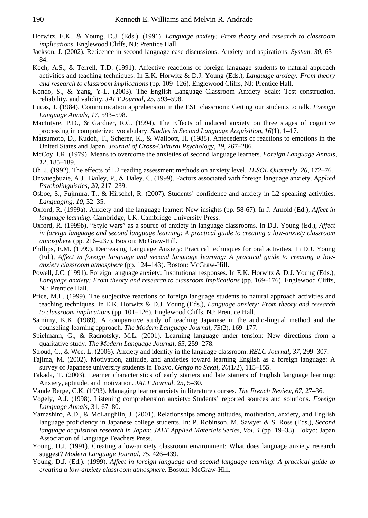- Horwitz, E.K., & Young, D.J. (Eds.). (1991). *Language anxiety: From theory and research to classroom implications*. Englewood Cliffs, NJ: Prentice Hall.
- Jackson, J. (2002). Reticence in second language case discussions: Anxiety and aspirations. *System, 30*, 65– 84.
- Koch, A.S., & Terrell, T.D. (1991). Affective reactions of foreign language students to natural approach activities and teaching techniques. In E.K. Horwitz & D.J. Young (Eds.), *Language anxiety: From theory and research to classroom implications* (pp. 109–126). Englewood Cliffs, NJ: Prentice Hall.
- Kondo, S., & Yang, Y-L. (2003). The English Language Classroom Anxiety Scale: Test construction, reliability, and validity. *JALT Journal, 25*, 593–598.
- Lucas, J. (1984). Communication apprehension in the ESL classroom: Getting our students to talk. *Foreign Language Annals, 17*, 593–598.
- MacIntyre, P.D., & Gardner, R.C. (1994). The Effects of induced anxiety on three stages of cognitive processing in computerized vocabulary. *Studies in Second Language Acquisition*, *16*(1), 1–17.
- Matsumoto, D., Kudoh, T., Scherer, K., & Wallbott, H. (1988). Antecedents of reactions to emotions in the United States and Japan. *Journal of Cross-Cultural Psychology, 19*, 267–286.
- McCoy, I.R. (1979). Means to overcome the anxieties of second language learners. *Foreign Language Annals, 12*, 185–189.
- Oh, J. (1992). The effects of L2 reading assessment methods on anxiety level. *TESOL Quarterly, 26*, 172–76.
- Onwuegbuzie, A.J., Bailey, P., & Daley, C. (1999). Factors associated with foreign language anxiety. *Applied Psycholinguistics, 20*, 217–239.
- Osboe, S., Fujmura, T., & Hirschel, R. (2007). Students' confidence and anxiety in L2 speaking activities. *Languaging*, *10*, 32–35.
- Oxford, R. (1999a). Anxiety and the language learner: New insights (pp. 58-67). In J. Arnold (Ed.), *Affect in language learning*. Cambridge, UK: Cambridge University Press.
- Oxford, R. (1999b). "Style wars" as a source of anxiety in language classrooms. In D.J. Young (Ed.), *Affect in foreign language and second language learning: A practical guide to creating a low-anxiety classroom atmosphere* (pp. 216–237). Boston: McGraw-Hill.
- Phillips, E.M. (1999). Decreasing Language Anxiety: Practical techniques for oral activities. In D.J. Young (Ed.), *Affect in foreign language and second language learning: A practical guide to creating a lowanxiety classroom atmosphere* (pp. 124–143). Boston: McGraw-Hill.
- Powell, J.C. (1991). Foreign language anxiety: Institutional responses. In E.K. Horwitz & D.J. Young (Eds.), *Language anxiety: From theory and research to classroom implications* (pp. 169–176). Englewood Cliffs, NJ: Prentice Hall.
- Price, M.L. (1999). The subjective reactions of foreign language students to natural approach activities and teaching techniques. In E.K. Horwitz & D.J. Young (Eds.), *Language anxiety: From theory and research to classroom implications* (pp. 101–126). Englewood Cliffs, NJ: Prentice Hall.
- Samimy, K.K. (1989). A comparative study of teaching Japanese in the audio-lingual method and the counseling-learning approach. *The Modern Language Journal, 73*(2), 169–177.
- Spielmann, G., & Radnofsky, M.L. (2001). Learning language under tension: New directions from a qualitative study. *The Modern Language Journal, 85*, 259–278.
- Stroud, C., & Wee, L. (2006). Anxiety and identity in the language classroom. *RELC Journal*, *37*, 299–307.
- Tajima, M. (2002). Motivation, attitude, and anxieties toward learning English as a foreign language: A survey of Japanese university students in Tokyo. *Gengo no Sekai, 20*(1/2), 115–155.
- Takada, T. (2003). Learner characteristics of early starters and late starters of English language learning: Anxiety, aptitude, and motivation. *JALT Journal, 25*, 5–30.
- Vande Berge, C.K. (1993). Managing learner anxiety in literature courses. *The French Review, 67*, 27–36.
- Vogely, A.J. (1998). Listening comprehension anxiety: Students' reported sources and solutions. *Foreign Language Annals,* 31, 67–80.
- Yamashiro, A.D., & McLaughlin, J. (2001). Relationships among attitudes, motivation, anxiety, and English language proficiency in Japanese college students. In: P. Robinson, M. Sawyer & S. Ross (Eds.), *Second language acquisition research in Japan: JALT Applied Materials Series, Vol. 4* (pp. 19–33). Tokyo: Japan Association of Language Teachers Press.
- Young, D.J. (1991). Creating a low-anxiety classroom environment: What does language anxiety research suggest? *Modern Language Journal, 75*, 426–439.
- Young, D.J. (Ed.). (1999). *Affect in foreign language and second language learning: A practical guide to creating a low-anxiety classroom atmosphere*. Boston: McGraw-Hill.